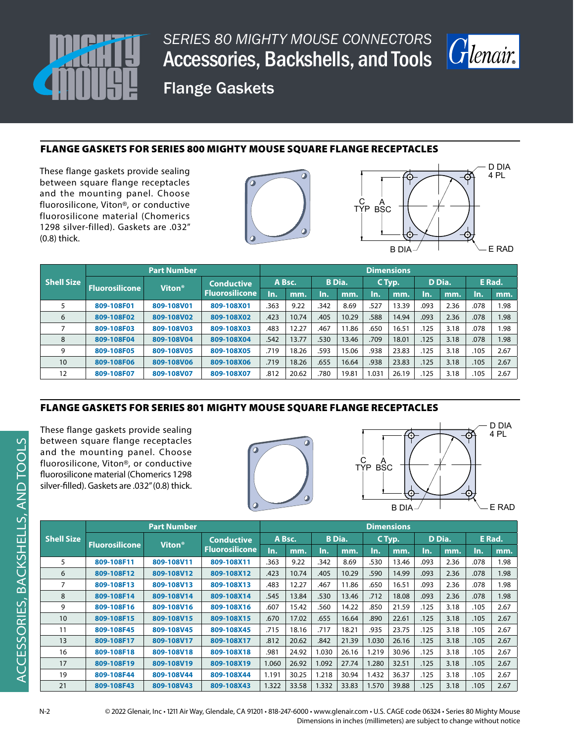

*SERIES 80 MIGHTY MOUSE CONNECTORS* Accessories, Backshells, and Tools



Flange Gaskets

# FLANGE GASKETS FOR SERIES 800 MIGHTY MOUSE SQUARE FLANGE RECEPTACLES

These flange gaskets provide sealing between square flange receptacles and the mounting panel. Choose fluorosilicone, Viton®, or conductive fluorosilicone material (Chomerics 1298 silver-filled). Gaskets are .032" (0.8) thick.





|                   | <b>Part Number</b>    |                    |                                            |        | <b>Dimensions</b> |               |       |        |       |        |      |        |      |  |
|-------------------|-----------------------|--------------------|--------------------------------------------|--------|-------------------|---------------|-------|--------|-------|--------|------|--------|------|--|
| <b>Shell Size</b> | <b>Fluorosilicone</b> | Viton <sup>®</sup> | <b>Conductive</b><br><b>Fluorosilicone</b> | A Bsc. |                   | <b>B</b> Dia. |       | C Typ. |       | D Dia. |      | E Rad. |      |  |
|                   |                       |                    |                                            | ln.    | mm.               | In.           | mm.   | In.    | mm.   | In.    | mm.  | In.    | mm.  |  |
| 5                 | 809-108F01            | 809-108V01         | 809-108X01                                 | .363   | 9.22              | .342          | 8.69  | .527   | 13.39 | .093   | 2.36 | .078   | 1.98 |  |
| 6                 | 809-108F02            | 809-108V02         | 809-108X02                                 | .423   | 10.74             | .405          | 10.29 | .588   | 14.94 | .093   | 2.36 | .078   | 1.98 |  |
|                   | 809-108F03            | 809-108V03         | 809-108X03                                 | .483   | 12.27             | .467          | 11.86 | .650   | 16.51 | .125   | 3.18 | .078   | 1.98 |  |
| 8                 | 809-108F04            | 809-108V04         | 809-108X04                                 | .542   | 13.77             | .530          | 13.46 | .709   | 18.01 | .125   | 3.18 | .078   | 1.98 |  |
| 9                 | 809-108F05            | 809-108V05         | 809-108X05                                 | .719   | 18.26             | .593          | 15.06 | .938   | 23.83 | .125   | 3.18 | .105   | 2.67 |  |
| 10                | 809-108F06            | 809-108V06         | 809-108X06                                 | .719   | 18.26             | .655          | 16.64 | .938   | 23.83 | .125   | 3.18 | .105   | 2.67 |  |
| 12                | 809-108F07            | 809-108V07         | 809-108X07                                 | .812   | 20.62             | .780          | 19.81 | 1.031  | 26.19 | .125   | 3.18 | .105   | 2.67 |  |

## FLANGE GASKETS FOR SERIES 801 MIGHTY MOUSE SQUARE FLANGE RECEPTACLES

These flange gaskets provide sealing between square flange receptacles and the mounting panel. Choose fluorosilicone, Viton®, or conductive fluorosilicone material (Chomerics 1298 silver-filled). Gaskets are .032" (0.8) thick.





|                   | <b>Part Number</b>    |                    |                                            |        | <b>Dimensions</b> |        |       |        |       |        |      |        |      |  |
|-------------------|-----------------------|--------------------|--------------------------------------------|--------|-------------------|--------|-------|--------|-------|--------|------|--------|------|--|
| <b>Shell Size</b> | <b>Fluorosilicone</b> | Viton <sup>®</sup> | <b>Conductive</b><br><b>Fluorosilicone</b> | A Bsc. |                   | B Dia. |       | C Typ. |       | D Dia. |      | E Rad. |      |  |
|                   |                       |                    |                                            | In.    | mm.               | In.    | mm.   | In.    | mm.   | In.    | mm.  | In.    | mm.  |  |
| 5                 | 809-108F11            | 809-108V11         | 809-108X11                                 | .363   | 9.22              | .342   | 8.69  | .530   | 13.46 | .093   | 2.36 | .078   | 1.98 |  |
| 6                 | 809-108F12            | 809-108V12         | 809-108X12                                 | .423   | 10.74             | .405   | 10.29 | .590   | 14.99 | .093   | 2.36 | .078   | 1.98 |  |
| 7                 | 809-108F13            | 809-108V13         | 809-108X13                                 | .483   | 12.27             | .467   | 11.86 | .650   | 16.51 | .093   | 2.36 | .078   | 1.98 |  |
| 8                 | 809-108F14            | 809-108V14         | 809-108X14                                 | .545   | 13.84             | .530   | 13.46 | .712   | 18.08 | .093   | 2.36 | .078   | 1.98 |  |
| 9                 | 809-108F16            | 809-108V16         | 809-108X16                                 | .607   | 15.42             | .560   | 14.22 | .850   | 21.59 | .125   | 3.18 | .105   | 2.67 |  |
| 10                | 809-108F15            | 809-108V15         | 809-108X15                                 | .670   | 17.02             | .655   | 16.64 | .890   | 22.61 | .125   | 3.18 | .105   | 2.67 |  |
| 11                | 809-108F45            | 809-108V45         | 809-108X45                                 | .715   | 18.16             | .717   | 18.21 | .935   | 23.75 | .125   | 3.18 | .105   | 2.67 |  |
| 13                | 809-108F17            | 809-108V17         | 809-108X17                                 | .812   | 20.62             | .842   | 21.39 | 1.030  | 26.16 | .125   | 3.18 | .105   | 2.67 |  |
| 16                | 809-108F18            | 809-108V18         | 809-108X18                                 | .981   | 24.92             | 1.030  | 26.16 | 1.219  | 30.96 | .125   | 3.18 | .105   | 2.67 |  |
| 17                | 809-108F19            | 809-108V19         | 809-108X19                                 | 1.060  | 26.92             | 1.092  | 27.74 | 1.280  | 32.51 | .125   | 3.18 | .105   | 2.67 |  |
| 19                | 809-108F44            | 809-108V44         | 809-108X44                                 | 1.191  | 30.25             | 1.218  | 30.94 | 1.432  | 36.37 | .125   | 3.18 | .105   | 2.67 |  |
| 21                | 809-108F43            | 809-108V43         | 809-108X43                                 | 1.322  | 33.58             | 1.332  | 33.83 | 1.570  | 39.88 | .125   | 3.18 | .105   | 2.67 |  |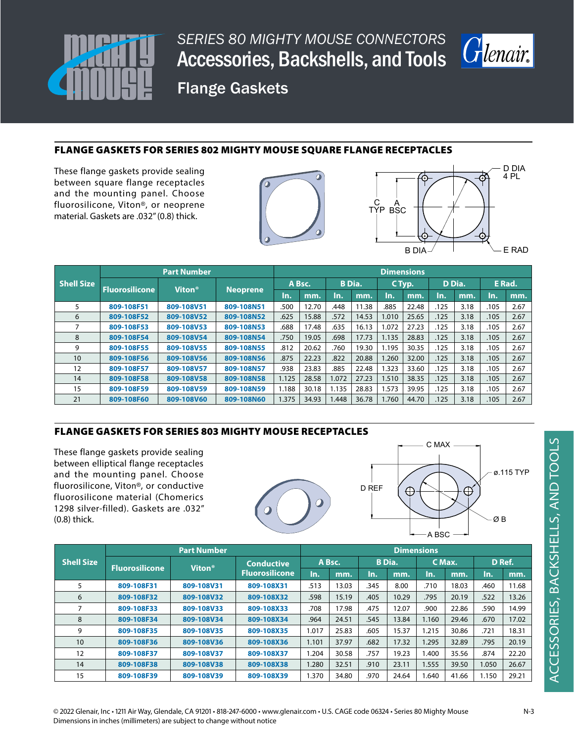

*SERIES 80 MIGHTY MOUSE CONNECTORS* Accessories, Backshells, and Tools



Flange Gaskets

### FLANGE GASKETS FOR SERIES 802 MIGHTY MOUSE SQUARE FLANGE RECEPTACLES

These flange gaskets provide sealing between square flange receptacles and the mounting panel. Choose fluorosilicone, Viton®, or neoprene material. Gaskets are .032" (0.8) thick.





|                   | <b>Part Number</b>    |                           |                 |        | <b>Dimensions</b> |               |       |        |       |        |      |        |      |  |
|-------------------|-----------------------|---------------------------|-----------------|--------|-------------------|---------------|-------|--------|-------|--------|------|--------|------|--|
| <b>Shell Size</b> |                       | <b>Viton</b> <sup>®</sup> | <b>Neoprene</b> | A Bsc. |                   | <b>B</b> Dia. |       | C Typ. |       | D Dia. |      | E Rad. |      |  |
|                   | <b>Fluorosilicone</b> |                           |                 | In.    | mm.               | In.           | mm.   | In.    | mm.   | In.    | mm.  | In.    | mm.  |  |
| 5                 | 809-108F51            | 809-108V51                | 809-108N51      | .500   | 12.70             | .448          | 11.38 | .885   | 22.48 | .125   | 3.18 | .105   | 2.67 |  |
| 6                 | 809-108F52            | 809-108V52                | 809-108N52      | .625   | 15.88             | .572          | 14.53 | 1.010  | 25.65 | .125   | 3.18 | .105   | 2.67 |  |
| 7                 | 809-108F53            | 809-108V53                | 809-108N53      | .688   | 17.48             | .635          | 16.13 | 1.072  | 27.23 | .125   | 3.18 | .105   | 2.67 |  |
| 8                 | 809-108F54            | 809-108V54                | 809-108N54      | .750   | 19.05             | .698          | 17.73 | 1.135  | 28.83 | .125   | 3.18 | .105   | 2.67 |  |
| 9                 | 809-108F55            | 809-108V55                | 809-108N55      | .812   | 20.62             | .760          | 19.30 | 1.195  | 30.35 | .125   | 3.18 | .105   | 2.67 |  |
| 10                | 809-108F56            | 809-108V56                | 809-108N56      | .875   | 22.23             | .822          | 20.88 | 1.260  | 32.00 | .125   | 3.18 | .105   | 2.67 |  |
| 12                | 809-108F57            | 809-108V57                | 809-108N57      | .938   | 23.83             | .885          | 22.48 | 1.323  | 33.60 | .125   | 3.18 | .105   | 2.67 |  |
| 14                | 809-108F58            | 809-108V58                | 809-108N58      | 1.125  | 28.58             | 1.072         | 27.23 | 1.510  | 38.35 | .125   | 3.18 | .105   | 2.67 |  |
| 15                | 809-108F59            | 809-108V59                | 809-108N59      | 1.188  | 30.18             | 1.135         | 28.83 | 1.573  | 39.95 | .125   | 3.18 | .105   | 2.67 |  |
| 21                | 809-108F60            | 809-108V60                | 809-108N60      | 1.375  | 34.93             | 1.448         | 36.78 | 1.760  | 44.70 | .125   | 3.18 | .105   | 2.67 |  |

## FLANGE GASKETS FOR SERIES 803 MIGHTY MOUSE RECEPTACLES

These flange gaskets provide sealing between elliptical flange receptacles and the mounting panel. Choose fluorosilicone, Viton®, or conductive fluorosilicone material (Chomerics 1298 silver-filled). Gaskets are .032" (0.8) thick.





|                   |            | <b>Dimensions</b>         |                   |        |       |               |       |        |       |        |       |
|-------------------|------------|---------------------------|-------------------|--------|-------|---------------|-------|--------|-------|--------|-------|
| <b>Shell Size</b> |            | <b>Viton</b> <sup>®</sup> | <b>Conductive</b> | A Bsc. |       | <b>B</b> Dia. |       | C Max. |       | D Ref. |       |
|                   |            | <b>Fluorosilicone</b>     |                   | In.    | mm.   | In.           | mm.   | In.    | mm.   | In.    | mm.   |
| 5                 | 809-108F31 | 809-108V31                | 809-108X31        | .513   | 13.03 | .345          | 8.00  | .710   | 18.03 | .460   | 11.68 |
| 6                 | 809-108F32 | 809-108V32                | 809-108X32        | .598   | 15.19 | .405          | 10.29 | .795   | 20.19 | .522   | 13.26 |
| 7                 | 809-108F33 | 809-108V33                | 809-108X33        | .708   | 17.98 | .475          | 12.07 | .900   | 22.86 | .590   | 14.99 |
| 8                 | 809-108F34 | 809-108V34                | 809-108X34        | .964   | 24.51 | .545          | 13.84 | 1.160  | 29.46 | .670   | 17.02 |
| 9                 | 809-108F35 | 809-108V35                | 809-108X35        | 1.017  | 25.83 | .605          | 15.37 | 1.215  | 30.86 | .721   | 18.31 |
| 10 <sup>°</sup>   | 809-108F36 | 809-108V36                | 809-108X36        | 1.101  | 37.97 | .682          | 17.32 | 1.295  | 32.89 | .795   | 20.19 |
| 12                | 809-108F37 | 809-108V37                | 809-108X37        | 1.204  | 30.58 | .757          | 19.23 | 1.400  | 35.56 | .874   | 22.20 |
| 14                | 809-108F38 | 809-108V38                | 809-108X38        | 1.280  | 32.51 | .910          | 23.11 | 1.555  | 39.50 | 1.050  | 26.67 |
| 15                | 809-108F39 | 809-108V39                | 809-108X39        | 1.370  | 34.80 | .970          | 24.64 | 1.640  | 41.66 | 1.150  | 29.21 |